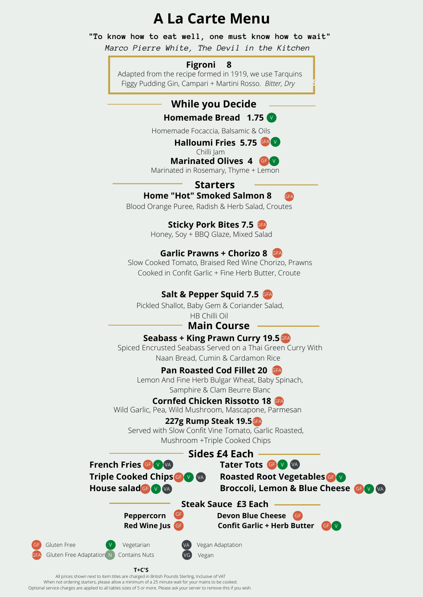# **A La Carte Menu**

**"To know how to eat well, one must know how to wait"**

*Marco Pierre White, The Devil in the Kitchen*

#### **Figroni 8**

Adapted from the recipe formed in 1919, we use Tarquins Figgy Pudding Gin, Campari + Martini Rosso. *Bitter, Dry*

# **While you Decide**

#### **Homemade Bread 1.75**

Homemade Focaccia, Balsamic & Oils

#### Halloumi Fries 5.75 **GFA** V

Chilli Jam

**Marinated Olives 4 GB** V

Marinated in Rosemary, Thyme + Lemon

#### **Starters Home "Hot" Smoked Salmon 8**

Blood Orange Puree, Radish & Herb Salad, Croutes

# Sticky Pork Bites 7.5

Honey, Soy + BBQ Glaze, Mixed Salad

# **Garlic Prawns + Chorizo 8** GFA

Slow Cooked Tomato, Braised Red Wine Chorizo, Prawns Cooked in Confit Garlic + Fine Herb Butter, Croute

# Salt & Pepper Squid 7.5 GFA

Pickled Shallot, Baby Gem & Coriander Salad,

HB Chilli Oil

### **Main Course**

#### Seabass + King Prawn Curry 19.5 GA

Spiced Encrusted Seabass Served on a Thai Green Curry With Naan Bread, Cumin & Cardamon Rice

#### **Pan Roasted Cod Fillet 20 GFA**

Lemon And Fine Herb Bulgar Wheat, Baby Spinach, Samphire & Clam Beurre Blanc

#### **Cornfed Chicken Rissotto 18 GA**

Wild Garlic, Pea, Wild Mushroom, Mascapone, Parmesan

#### **227g Rump Steak 19.5** GFA

Served with Slow Confit Vine Tomato, Garlic Roasted, Mushroom +Triple Cooked Chips

**French Fries Triple Cooked Chips GF V VA House salad<sup>GF</sup> Sides £4 Each**

**Roasted Root Vegetables** GF VA **Tater Tots** GF V VA **Broccoli, Lemon & Blue Cheese GF V** 

**Steak Sauce £3 Each**

Vegan Adaptation

Vegan

**Peppercorn Devon Blue Cheese** GF **Red Wine Jus Confit Garlic + Herb Butter** GF GF V



**Starters**





All prices shown next to item titles are charged in British Pounds Sterling, Inclusive of VAT When not ordering starters, please allow a minimum of a 25 minute wait for your mains to be cooked. Optional service charges are applied to all tables sizes of 5 or more. Please ask your server to remove this if you wish.